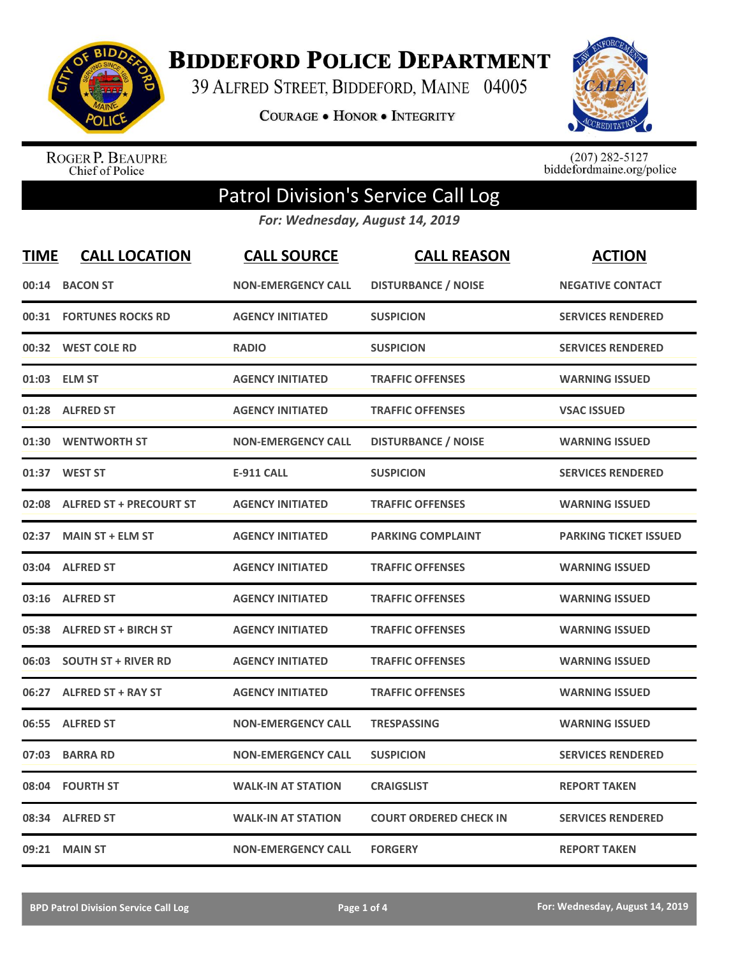

**BIDDEFORD POLICE DEPARTMENT** 

39 ALFRED STREET, BIDDEFORD, MAINE 04005

**COURAGE . HONOR . INTEGRITY** 



ROGER P. BEAUPRE<br>Chief of Police

 $(207)$  282-5127<br>biddefordmaine.org/police

## Patrol Division's Service Call Log

*For: Wednesday, August 14, 2019*

| <b>TIME</b> | <b>CALL LOCATION</b>           | <b>CALL SOURCE</b>        | <b>CALL REASON</b>            | <b>ACTION</b>                |
|-------------|--------------------------------|---------------------------|-------------------------------|------------------------------|
| 00:14       | <b>BACON ST</b>                | <b>NON-EMERGENCY CALL</b> | <b>DISTURBANCE / NOISE</b>    | <b>NEGATIVE CONTACT</b>      |
| 00:31       | <b>FORTUNES ROCKS RD</b>       | <b>AGENCY INITIATED</b>   | <b>SUSPICION</b>              | <b>SERVICES RENDERED</b>     |
|             | 00:32 WEST COLE RD             | <b>RADIO</b>              | <b>SUSPICION</b>              | <b>SERVICES RENDERED</b>     |
| 01:03       | <b>ELM ST</b>                  | <b>AGENCY INITIATED</b>   | <b>TRAFFIC OFFENSES</b>       | <b>WARNING ISSUED</b>        |
| 01:28       | <b>ALFRED ST</b>               | <b>AGENCY INITIATED</b>   | <b>TRAFFIC OFFENSES</b>       | <b>VSAC ISSUED</b>           |
| 01:30       | <b>WENTWORTH ST</b>            | <b>NON-EMERGENCY CALL</b> | <b>DISTURBANCE / NOISE</b>    | <b>WARNING ISSUED</b>        |
| 01:37       | <b>WEST ST</b>                 | <b>E-911 CALL</b>         | <b>SUSPICION</b>              | <b>SERVICES RENDERED</b>     |
| 02:08       | <b>ALFRED ST + PRECOURT ST</b> | <b>AGENCY INITIATED</b>   | <b>TRAFFIC OFFENSES</b>       | <b>WARNING ISSUED</b>        |
| 02:37       | <b>MAIN ST + ELM ST</b>        | <b>AGENCY INITIATED</b>   | <b>PARKING COMPLAINT</b>      | <b>PARKING TICKET ISSUED</b> |
| 03:04       | <b>ALFRED ST</b>               | <b>AGENCY INITIATED</b>   | <b>TRAFFIC OFFENSES</b>       | <b>WARNING ISSUED</b>        |
|             | 03:16 ALFRED ST                | <b>AGENCY INITIATED</b>   | <b>TRAFFIC OFFENSES</b>       | <b>WARNING ISSUED</b>        |
| 05:38       | <b>ALFRED ST + BIRCH ST</b>    | <b>AGENCY INITIATED</b>   | <b>TRAFFIC OFFENSES</b>       | <b>WARNING ISSUED</b>        |
| 06:03       | <b>SOUTH ST + RIVER RD</b>     | <b>AGENCY INITIATED</b>   | <b>TRAFFIC OFFENSES</b>       | <b>WARNING ISSUED</b>        |
| 06:27       | <b>ALFRED ST + RAY ST</b>      | <b>AGENCY INITIATED</b>   | <b>TRAFFIC OFFENSES</b>       | <b>WARNING ISSUED</b>        |
| 06:55       | <b>ALFRED ST</b>               | <b>NON-EMERGENCY CALL</b> | <b>TRESPASSING</b>            | <b>WARNING ISSUED</b>        |
| 07:03       | <b>BARRA RD</b>                | <b>NON-EMERGENCY CALL</b> | <b>SUSPICION</b>              | <b>SERVICES RENDERED</b>     |
| 08:04       | <b>FOURTH ST</b>               | <b>WALK-IN AT STATION</b> | <b>CRAIGSLIST</b>             | <b>REPORT TAKEN</b>          |
| 08:34       | <b>ALFRED ST</b>               | <b>WALK-IN AT STATION</b> | <b>COURT ORDERED CHECK IN</b> | <b>SERVICES RENDERED</b>     |
| 09:21       | <b>MAIN ST</b>                 | <b>NON-EMERGENCY CALL</b> | <b>FORGERY</b>                | <b>REPORT TAKEN</b>          |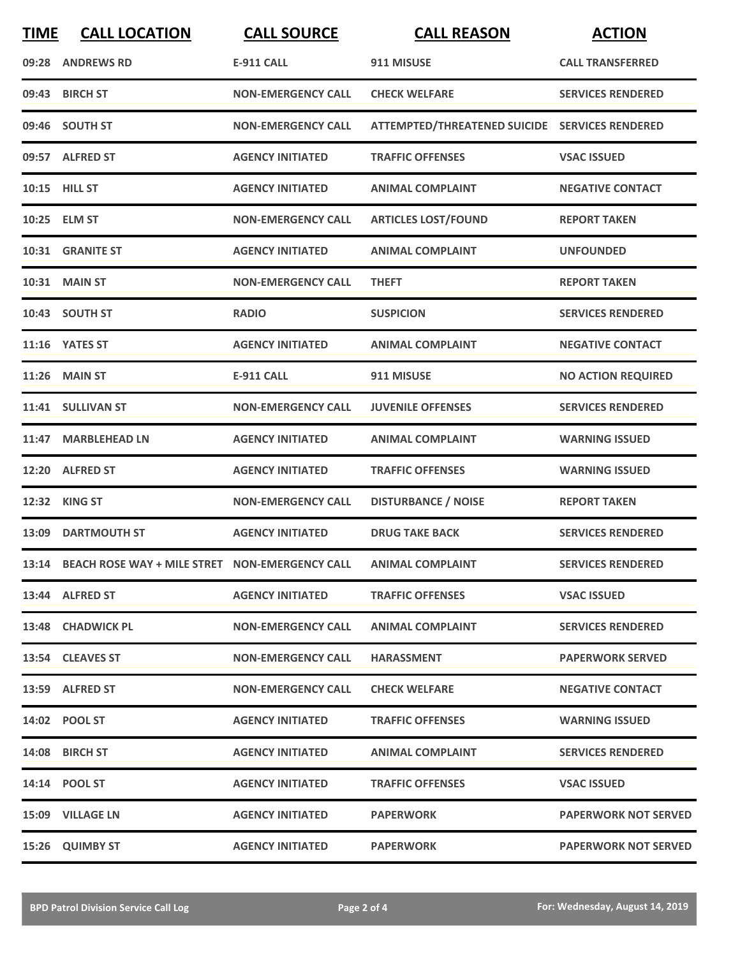| <b>TIME</b> | <b>CALL LOCATION</b>                                 | <b>CALL SOURCE</b>        | <b>CALL REASON</b>                             | <b>ACTION</b>               |
|-------------|------------------------------------------------------|---------------------------|------------------------------------------------|-----------------------------|
|             | 09:28 ANDREWS RD                                     | <b>E-911 CALL</b>         | 911 MISUSE                                     | <b>CALL TRANSFERRED</b>     |
|             | 09:43 BIRCH ST                                       | <b>NON-EMERGENCY CALL</b> | <b>CHECK WELFARE</b>                           | <b>SERVICES RENDERED</b>    |
|             | 09:46 SOUTH ST                                       | <b>NON-EMERGENCY CALL</b> | ATTEMPTED/THREATENED SUICIDE SERVICES RENDERED |                             |
|             | 09:57 ALFRED ST                                      | <b>AGENCY INITIATED</b>   | <b>TRAFFIC OFFENSES</b>                        | <b>VSAC ISSUED</b>          |
|             | 10:15 HILL ST                                        | <b>AGENCY INITIATED</b>   | <b>ANIMAL COMPLAINT</b>                        | <b>NEGATIVE CONTACT</b>     |
|             | 10:25 ELM ST                                         | <b>NON-EMERGENCY CALL</b> | <b>ARTICLES LOST/FOUND</b>                     | <b>REPORT TAKEN</b>         |
|             | 10:31 GRANITE ST                                     | <b>AGENCY INITIATED</b>   | <b>ANIMAL COMPLAINT</b>                        | <b>UNFOUNDED</b>            |
|             | 10:31 MAIN ST                                        | <b>NON-EMERGENCY CALL</b> | <b>THEFT</b>                                   | <b>REPORT TAKEN</b>         |
|             | 10:43 SOUTH ST                                       | <b>RADIO</b>              | <b>SUSPICION</b>                               | <b>SERVICES RENDERED</b>    |
|             | 11:16 YATES ST                                       | <b>AGENCY INITIATED</b>   | <b>ANIMAL COMPLAINT</b>                        | <b>NEGATIVE CONTACT</b>     |
|             | <b>11:26 MAIN ST</b>                                 | <b>E-911 CALL</b>         | 911 MISUSE                                     | <b>NO ACTION REQUIRED</b>   |
|             | 11:41 SULLIVAN ST                                    | <b>NON-EMERGENCY CALL</b> | <b>JUVENILE OFFENSES</b>                       | <b>SERVICES RENDERED</b>    |
| 11:47       | <b>MARBLEHEAD LN</b>                                 | <b>AGENCY INITIATED</b>   | <b>ANIMAL COMPLAINT</b>                        | <b>WARNING ISSUED</b>       |
| 12:20       | <b>ALFRED ST</b>                                     | <b>AGENCY INITIATED</b>   | <b>TRAFFIC OFFENSES</b>                        | <b>WARNING ISSUED</b>       |
| 12:32       | <b>KING ST</b>                                       | <b>NON-EMERGENCY CALL</b> | <b>DISTURBANCE / NOISE</b>                     | <b>REPORT TAKEN</b>         |
|             | 13:09 DARTMOUTH ST                                   | <b>AGENCY INITIATED</b>   | <b>DRUG TAKE BACK</b>                          | <b>SERVICES RENDERED</b>    |
|             | 13:14 BEACH ROSE WAY + MILE STRET NON-EMERGENCY CALL |                           | <b>ANIMAL COMPLAINT</b>                        | <b>SERVICES RENDERED</b>    |
|             | 13:44 ALFRED ST                                      | <b>AGENCY INITIATED</b>   | <b>TRAFFIC OFFENSES</b>                        | <b>VSAC ISSUED</b>          |
|             | 13:48 CHADWICK PL                                    | <b>NON-EMERGENCY CALL</b> | <b>ANIMAL COMPLAINT</b>                        | <b>SERVICES RENDERED</b>    |
|             | 13:54 CLEAVES ST                                     | <b>NON-EMERGENCY CALL</b> | <b>HARASSMENT</b>                              | <b>PAPERWORK SERVED</b>     |
|             | 13:59 ALFRED ST                                      | <b>NON-EMERGENCY CALL</b> | <b>CHECK WELFARE</b>                           | <b>NEGATIVE CONTACT</b>     |
|             | 14:02 POOL ST                                        | <b>AGENCY INITIATED</b>   | <b>TRAFFIC OFFENSES</b>                        | <b>WARNING ISSUED</b>       |
|             | 14:08 BIRCH ST                                       | <b>AGENCY INITIATED</b>   | <b>ANIMAL COMPLAINT</b>                        | <b>SERVICES RENDERED</b>    |
|             | 14:14 POOL ST                                        | <b>AGENCY INITIATED</b>   | <b>TRAFFIC OFFENSES</b>                        | <b>VSAC ISSUED</b>          |
|             | 15:09 VILLAGE LN                                     | <b>AGENCY INITIATED</b>   | <b>PAPERWORK</b>                               | <b>PAPERWORK NOT SERVED</b> |
|             | 15:26 QUIMBY ST                                      | <b>AGENCY INITIATED</b>   | <b>PAPERWORK</b>                               | <b>PAPERWORK NOT SERVED</b> |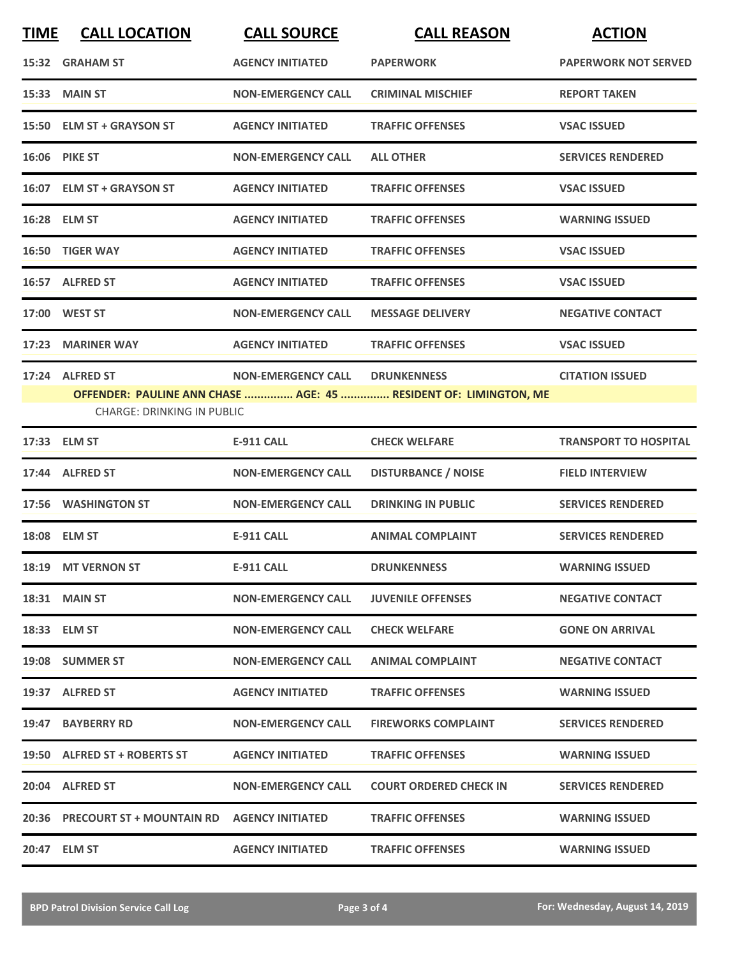| <b>TIME</b> | <b>CALL LOCATION</b>                             | <b>CALL SOURCE</b>                    | <b>CALL REASON</b>                                               | <b>ACTION</b>                |
|-------------|--------------------------------------------------|---------------------------------------|------------------------------------------------------------------|------------------------------|
|             | 15:32 GRAHAM ST                                  | <b>AGENCY INITIATED</b>               | <b>PAPERWORK</b>                                                 | <b>PAPERWORK NOT SERVED</b>  |
|             | 15:33 MAIN ST                                    | <b>NON-EMERGENCY CALL</b>             | <b>CRIMINAL MISCHIEF</b>                                         | <b>REPORT TAKEN</b>          |
|             | 15:50 ELM ST + GRAYSON ST                        | <b>AGENCY INITIATED</b>               | <b>TRAFFIC OFFENSES</b>                                          | <b>VSAC ISSUED</b>           |
|             | 16:06 PIKE ST                                    | <b>NON-EMERGENCY CALL</b>             | <b>ALL OTHER</b>                                                 | <b>SERVICES RENDERED</b>     |
|             | 16:07 ELM ST + GRAYSON ST                        | <b>AGENCY INITIATED</b>               | <b>TRAFFIC OFFENSES</b>                                          | <b>VSAC ISSUED</b>           |
|             | 16:28 ELM ST                                     | <b>AGENCY INITIATED</b>               | <b>TRAFFIC OFFENSES</b>                                          | <b>WARNING ISSUED</b>        |
|             | 16:50 TIGER WAY                                  | <b>AGENCY INITIATED</b>               | <b>TRAFFIC OFFENSES</b>                                          | <b>VSAC ISSUED</b>           |
|             | 16:57 ALFRED ST                                  | <b>AGENCY INITIATED</b>               | <b>TRAFFIC OFFENSES</b>                                          | <b>VSAC ISSUED</b>           |
| 17:00       | <b>WEST ST</b>                                   | <b>NON-EMERGENCY CALL</b>             | <b>MESSAGE DELIVERY</b>                                          | <b>NEGATIVE CONTACT</b>      |
|             | 17:23 MARINER WAY                                | <b>AGENCY INITIATED</b>               | <b>TRAFFIC OFFENSES</b>                                          | <b>VSAC ISSUED</b>           |
|             | 17:24 ALFRED ST                                  | <b>NON-EMERGENCY CALL DRUNKENNESS</b> |                                                                  | <b>CITATION ISSUED</b>       |
|             | <b>CHARGE: DRINKING IN PUBLIC</b>                |                                       | OFFENDER: PAULINE ANN CHASE  AGE: 45  RESIDENT OF: LIMINGTON, ME |                              |
|             | 17:33 ELM ST                                     | <b>E-911 CALL</b>                     | <b>CHECK WELFARE</b>                                             | <b>TRANSPORT TO HOSPITAL</b> |
| 17:44       | <b>ALFRED ST</b>                                 | <b>NON-EMERGENCY CALL</b>             | <b>DISTURBANCE / NOISE</b>                                       | <b>FIELD INTERVIEW</b>       |
|             | 17:56 WASHINGTON ST                              | <b>NON-EMERGENCY CALL</b>             | <b>DRINKING IN PUBLIC</b>                                        | <b>SERVICES RENDERED</b>     |
|             | 18:08 ELM ST                                     | <b>E-911 CALL</b>                     | <b>ANIMAL COMPLAINT</b>                                          | <b>SERVICES RENDERED</b>     |
|             | 18:19 MT VERNON ST                               | <b>E-911 CALL</b>                     | <b>DRUNKENNESS</b>                                               | WARNING ISSUED               |
|             | 18:31 MAIN ST                                    | <b>NON-EMERGENCY CALL</b>             | <b>JUVENILE OFFENSES</b>                                         | <b>NEGATIVE CONTACT</b>      |
|             | 18:33 ELM ST                                     | <b>NON-EMERGENCY CALL</b>             | <b>CHECK WELFARE</b>                                             | <b>GONE ON ARRIVAL</b>       |
|             | 19:08 SUMMER ST                                  | <b>NON-EMERGENCY CALL</b>             | <b>ANIMAL COMPLAINT</b>                                          | <b>NEGATIVE CONTACT</b>      |
|             | 19:37 ALFRED ST                                  | <b>AGENCY INITIATED</b>               | <b>TRAFFIC OFFENSES</b>                                          | <b>WARNING ISSUED</b>        |
|             | 19:47 BAYBERRY RD                                | <b>NON-EMERGENCY CALL</b>             | <b>FIREWORKS COMPLAINT</b>                                       | <b>SERVICES RENDERED</b>     |
|             | 19:50 ALFRED ST + ROBERTS ST                     | <b>AGENCY INITIATED</b>               | <b>TRAFFIC OFFENSES</b>                                          | <b>WARNING ISSUED</b>        |
|             | 20:04 ALFRED ST                                  | <b>NON-EMERGENCY CALL</b>             | <b>COURT ORDERED CHECK IN</b>                                    | <b>SERVICES RENDERED</b>     |
|             | 20:36 PRECOURT ST + MOUNTAIN RD AGENCY INITIATED |                                       | <b>TRAFFIC OFFENSES</b>                                          | <b>WARNING ISSUED</b>        |
|             | 20:47 ELM ST                                     | <b>AGENCY INITIATED</b>               | <b>TRAFFIC OFFENSES</b>                                          | <b>WARNING ISSUED</b>        |